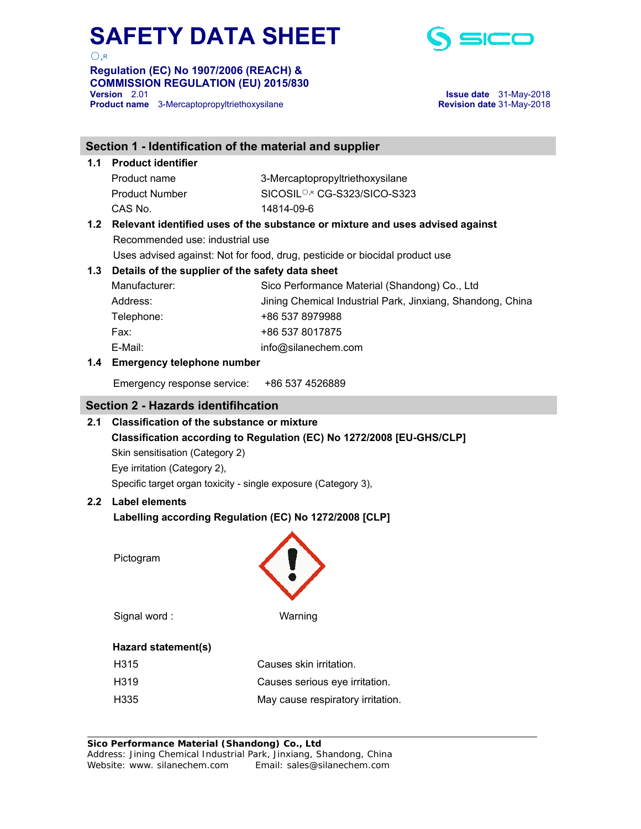

 $\bigcap$  R

**Regulation (EC) No 1907/2006 (REACH) & COMMISSION REGULATION (EU) 2015/830 Product name** 3-Mercaptopropyltriethoxysilane **Revision date** 31-May-2018

**Version** 2.01 **Issue date** 31-May-2018

## **Section 1 - Identification of the material and supplier 1.1 Product identifier**  Product name 3-Mercaptopropyltriethoxysilane Product Number SICOSIL<sup>○,R</sup> CG-S323/SICO-S323 CAS No. 14814-09-6 **1.2 Relevant identified uses of the substance or mixture and uses advised against**  Recommended use: industrial use Uses advised against: Not for food, drug, pesticide or biocidal product use **1.3 Details of the supplier of the safety data sheet**  Manufacturer: Sico Performance Material (Shandong) Co., Ltd Address: Jining Chemical Industrial Park, Jinxiang, Shandong, China Telephone: +86 537 8979988 Fax: +86 537 8017875 E-Mail: info@silanechem.com **1.4 Emergency telephone number**  Emergency response service: +86 537 4526889 **Section 2 - Hazards identifihcation 2.1 Classification of the substance or mixture Classification according to Regulation (EC) No 1272/2008 [EU-GHS/CLP]** Skin sensitisation (Category 2) Eye irritation (Category 2), Specific target organ toxicity - single exposure (Category 3), **2.2 Label elements Labelling according Regulation (EC) No 1272/2008 [CLP]**  Pictogram Signal word : Warning  **Hazard statement(s)**  H315 Causes skin irritation. H319 Causes serious eye irritation. H335 May cause respiratory irritation.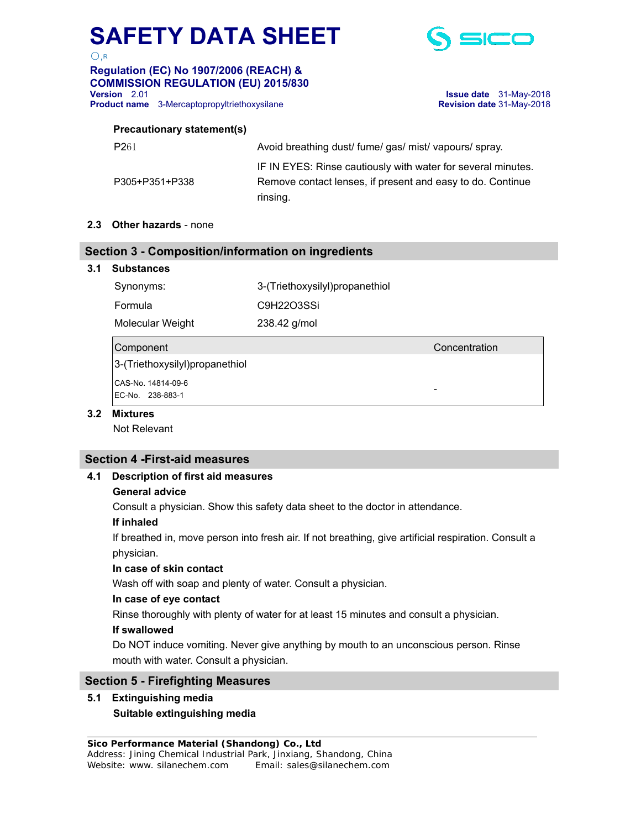

 $\bigcap$  R

### **Regulation (EC) No 1907/2006 (REACH) & COMMISSION REGULATION (EU) 2015/830 Product name** 3-Mercaptopropyltriethoxysilane **Revision date** 31-May-2018

**Version** 2.01 **Issue date** 31-May-2018

#### **Precautionary statement(s)**

| P <sub>261</sub> | Avoid breathing dust/ fume/ gas/ mist/ vapours/ spray.       |
|------------------|--------------------------------------------------------------|
|                  | IF IN EYES: Rinse cautiously with water for several minutes. |
| P305+P351+P338   | Remove contact lenses, if present and easy to do. Continue   |
|                  | rinsing.                                                     |

#### **2.3 Other hazards** - none

#### **Section 3 - Composition/information on ingredients**

#### **3.1 Substances**

| Synonyms: | 3-(Triethoxysilyl)propanethiol |
|-----------|--------------------------------|
| Formula   | C9H22O3SSi                     |

Molecular Weight 238.42 g/mol

#### Component Concentration

3-(Triethoxysilyl)propanethiol CAS-No. 14814-09-6 EC-No. 238-883-1

#### **3.2 Mixtures**

Not Relevant

#### **Section 4 -First-aid measures**

#### **4.1 Description of first aid measures**

#### **General advice**

Consult a physician. Show this safety data sheet to the doctor in attendance.

#### **If inhaled**

 If breathed in, move person into fresh air. If not breathing, give artificial respiration. Consult a physician.

#### **In case of skin contact**

Wash off with soap and plenty of water. Consult a physician.

#### **In case of eye contact**

Rinse thoroughly with plenty of water for at least 15 minutes and consult a physician.

#### **If swallowed**

 Do NOT induce vomiting. Never give anything by mouth to an unconscious person. Rinse mouth with water. Consult a physician.

#### **Section 5 - Firefighting Measures**

#### **5.1 Extinguishing media Suitable extinguishing media**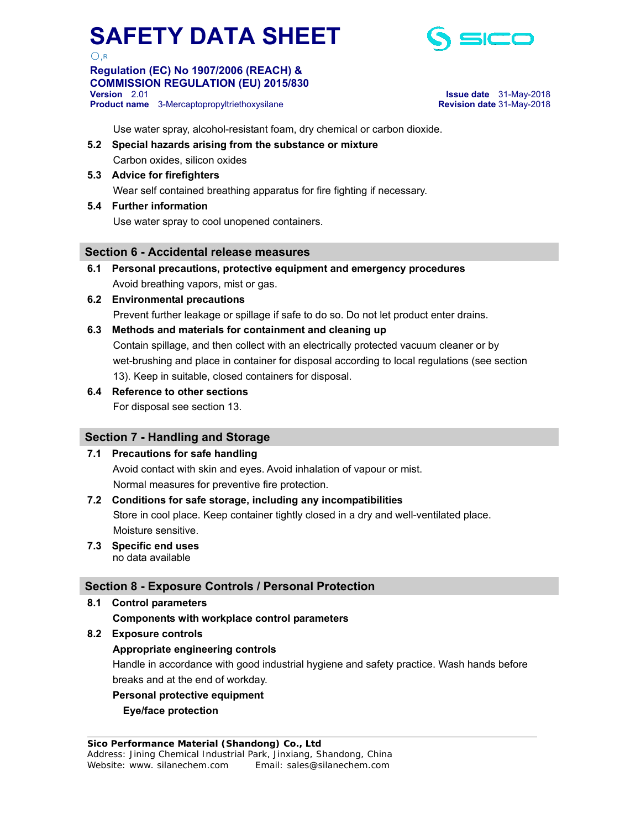

 $\bigcap$ 

#### **Regulation (EC) No 1907/2006 (REACH) & COMMISSION REGULATION (EU) 2015/830 Version** 2.01 **Issue date** 31-May-2018 **Product name** 3-Mercaptopropyltriethoxysilane **Revision date** 31-May-2018

Use water spray, alcohol-resistant foam, dry chemical or carbon dioxide.

- **5.2 Special hazards arising from the substance or mixture**  Carbon oxides, silicon oxides
- **5.3 Advice for firefighters**  Wear self contained breathing apparatus for fire fighting if necessary.
- **5.4 Further information**

Use water spray to cool unopened containers.

#### **Section 6 - Accidental release measures**

- **6.1 Personal precautions, protective equipment and emergency procedures**  Avoid breathing vapors, mist or gas.
- **6.2 Environmental precautions**

Prevent further leakage or spillage if safe to do so. Do not let product enter drains.

#### **6.3 Methods and materials for containment and cleaning up**

 Contain spillage, and then collect with an electrically protected vacuum cleaner or by wet-brushing and place in container for disposal according to local regulations (see section 13). Keep in suitable, closed containers for disposal.

**6.4 Reference to other sections** 

For disposal see section 13.

#### **Section 7 - Handling and Storage**

#### **7.1 Precautions for safe handling**

 Avoid contact with skin and eyes. Avoid inhalation of vapour or mist. Normal measures for preventive fire protection.

#### **7.2 Conditions for safe storage, including any incompatibilities**

 Store in cool place. Keep container tightly closed in a dry and well-ventilated place. Moisture sensitive.

**7.3 Specific end uses**  no data available

#### **Section 8 - Exposure Controls / Personal Protection**

- **8.1 Control parameters** 
	- **Components with workplace control parameters**
- **8.2 Exposure controls**

#### **Appropriate engineering controls**

 Handle in accordance with good industrial hygiene and safety practice. Wash hands before breaks and at the end of workday.

#### **Personal protective equipment**

#### **Eye/face protection**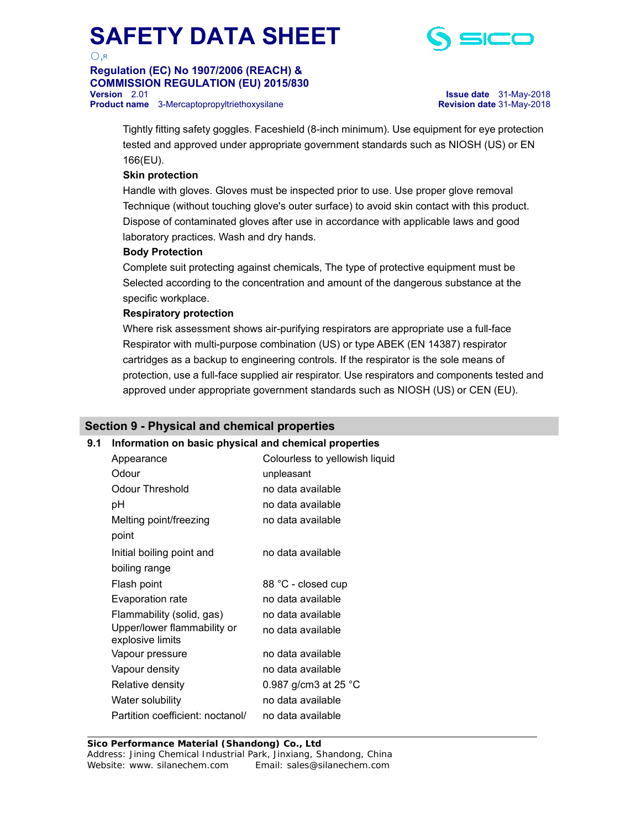

 $\bigcap$  R

### **Regulation (EC) No 1907/2006 (REACH) & COMMISSION REGULATION (EU) 2015/830 Product name** 3-Mercaptopropyltriethoxysilane **Revision date** 31-May-2018

**Issue date** 31-May-2018

 Tightly fitting safety goggles. Faceshield (8-inch minimum). Use equipment for eye protection tested and approved under appropriate government standards such as NIOSH (US) or EN 166(EU).

#### **Skin protection**

 Handle with gloves. Gloves must be inspected prior to use. Use proper glove removal Technique (without touching glove's outer surface) to avoid skin contact with this product. Dispose of contaminated gloves after use in accordance with applicable laws and good laboratory practices. Wash and dry hands.

#### **Body Protection**

 Complete suit protecting against chemicals, The type of protective equipment must be Selected according to the concentration and amount of the dangerous substance at the specific workplace.

#### **Respiratory protection**

 Where risk assessment shows air-purifying respirators are appropriate use a full-face Respirator with multi-purpose combination (US) or type ABEK (EN 14387) respirator cartridges as a backup to engineering controls. If the respirator is the sole means of protection, use a full-face supplied air respirator. Use respirators and components tested and approved under appropriate government standards such as NIOSH (US) or CEN (EU).

#### **Section 9 - Physical and chemical properties**

## **9.1 Information on basic physical and chemical properties**

| Appearance                                      | Colourless to yellowish liquid |
|-------------------------------------------------|--------------------------------|
| Odour                                           | unpleasant                     |
| Odour Threshold                                 | no data available              |
| рH                                              | no data available              |
| Melting point/freezing                          | no data available              |
| point                                           |                                |
| Initial boiling point and                       | no data available              |
| boiling range                                   |                                |
| Flash point                                     | 88 °C - closed cup             |
| Evaporation rate                                | no data available              |
| Flammability (solid, gas)                       | no data available              |
| Upper/lower flammability or<br>explosive limits | no data available              |
| Vapour pressure                                 | no data available              |
| Vapour density                                  | no data available              |
| Relative density                                | 0.987 g/cm3 at 25 $^{\circ}$ C |
| Water solubility                                | no data available              |
| Partition coefficient: noctanol/                | no data available              |

 **Sico Performance Material (Shandong) Co., Ltd**  Address: Jining Chemical Industrial Park, Jinxiang, Shandong, China Website: www. silanechem.com Email: sales@silanechem.com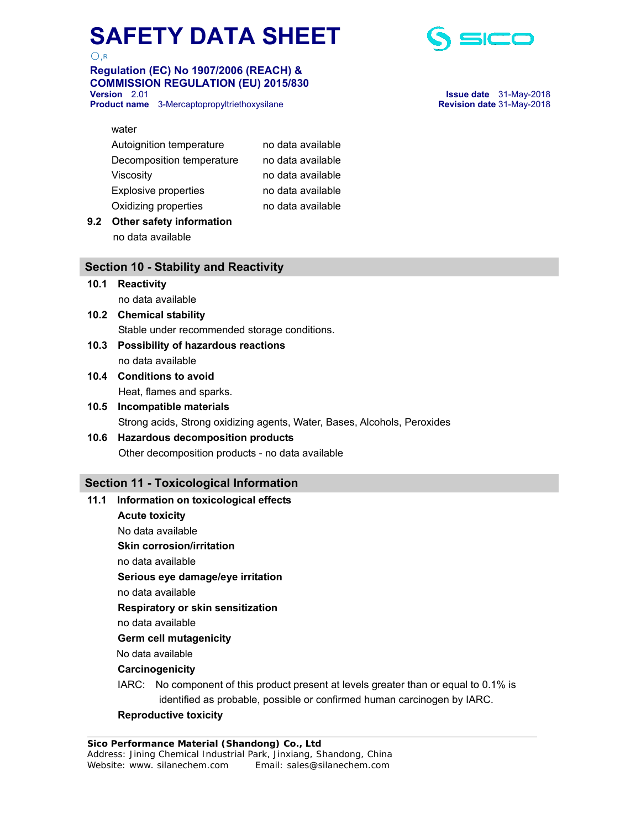

## **Regulation (EC) No 1907/2006 (REACH) & COMMISSION REGULATION (EU) 2015/830**

**Product name** 3-Mercaptopropyltriethoxysilane **Revision date** 31-May-2018



# **Version** 2.01 **Issue date** 31-May-2018

| Autoignition temperature    | no data available |
|-----------------------------|-------------------|
| Decomposition temperature   | no data available |
| Viscosity                   | no data available |
| <b>Explosive properties</b> | no data available |
| Oxidizing properties        | no data available |
|                             |                   |

**9.2 Other safety information**  no data available

#### **Section 10 - Stability and Reactivity**

#### **10.1 Reactivity**

no data available

- **10.2 Chemical stability**  Stable under recommended storage conditions.
- **10.3 Possibility of hazardous reactions**  no data available
- **10.4 Conditions to avoid**  Heat, flames and sparks.

### **10.5 Incompatible materials**  Strong acids, Strong oxidizing agents, Water, Bases, Alcohols, Peroxides

#### **10.6 Hazardous decomposition products**  Other decomposition products - no data available

#### **Section 11 - Toxicological Information**

### **11.1 Information on toxicological effects**

 **Acute toxicity** 

No data available

**Skin corrosion/irritation** 

no data available

 **Serious eye damage/eye irritation** 

no data available

 **Respiratory or skin sensitization** 

no data available

**Germ cell mutagenicity** 

No data available

 **Carcinogenicity** 

IARC: No component of this product present at levels greater than or equal to 0.1% is identified as probable, possible or confirmed human carcinogen by IARC.

#### **Reproductive toxicity**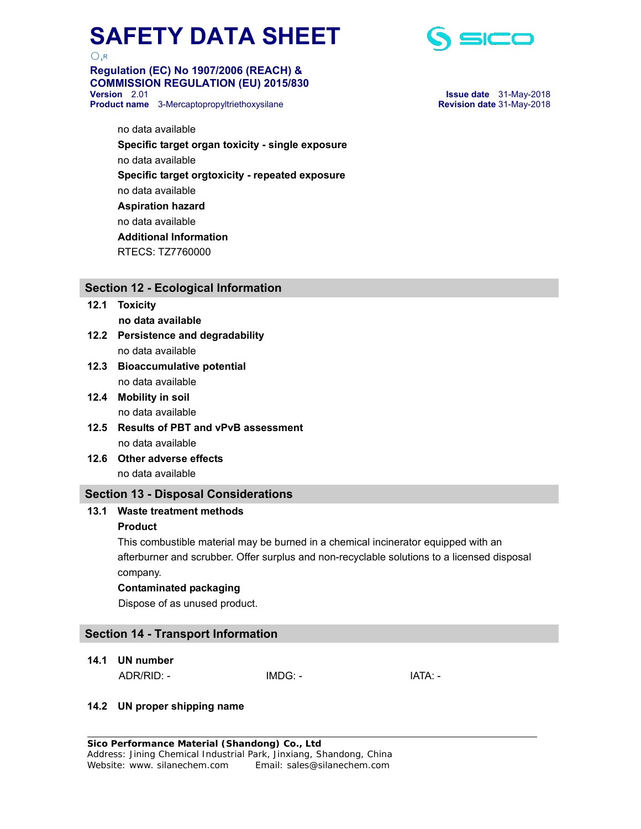

### **Regulation (EC) No 1907/2006 (REACH) & COMMISSION REGULATION (EU) 2015/830 Product name** 3-Mercaptopropyltriethoxysilane **Revision date** 31-May-2018



**Version** 2.01 **Issue date** 31-May-2018

 no data available  **Specific target organ toxicity - single exposure**  no data available  **Specific target orgtoxicity - repeated exposure**  no data available  **Aspiration hazard**  no data available  **Additional Information**  RTECS: TZ7760000

#### **Section 12 - Ecological Information**

- **12.1 Toxicity no data available**
- **12.2 Persistence and degradability**  no data available
- **12.3 Bioaccumulative potential**  no data available
- **12.4 Mobility in soil**  no data available
- **12.5 Results of PBT and vPvB assessment**  no data available
- **12.6 Other adverse effects**  no data available

#### **Section 13 - Disposal Considerations**

#### **13.1 Waste treatment methods**

#### **Product**

This combustible material may be burned in a chemical incinerator equipped with an afterburner and scrubber. Offer surplus and non-recyclable solutions to a licensed disposal company.

#### **Contaminated packaging**

Dispose of as unused product.

### **Section 14 - Transport Information**

**14.1 UN number** 

ADR/RID: - IMDG: - IMDG: - IATA: -

#### **14.2 UN proper shipping name**